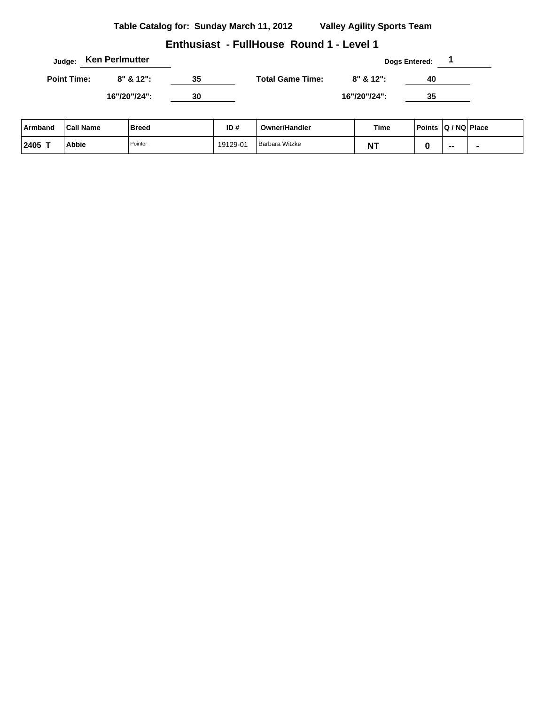|                    | Judge: Ken Perlmutter |    |                         |              | <b>Dogs Entered:</b> |  |
|--------------------|-----------------------|----|-------------------------|--------------|----------------------|--|
| <b>Point Time:</b> | $8" 8' 12"$ :         | 35 | <b>Total Game Time:</b> | $8" 812"$ :  | 40                   |  |
|                    | 16"/20"/24":          | 30 |                         | 16"/20"/24": | 35                   |  |

| Armband        | <b>Call Name</b> | Breed   | ID#      | Owner/Handler         | Time       | Points   Q / NQ   Place |    |  |
|----------------|------------------|---------|----------|-----------------------|------------|-------------------------|----|--|
| $12405$ $\tau$ | <b>Abbie</b>     | Pointer | 19129-01 | <b>Barbara Witzke</b> | דומ<br>N I |                         | -- |  |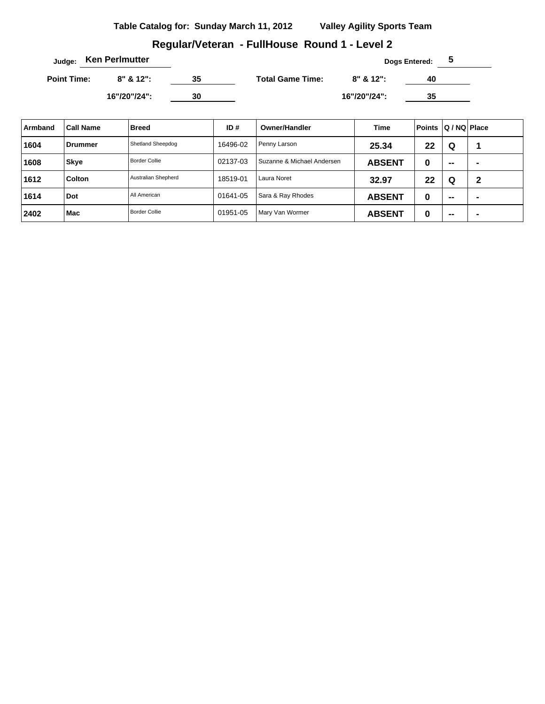# **Regular/Veteran - FullHouse Round 1 - Level 2**

|                    | Judge: Ken Perlmutter |    |                         |              | <b>Dogs Entered:</b><br>ა |  |
|--------------------|-----------------------|----|-------------------------|--------------|---------------------------|--|
| <b>Point Time:</b> | $8" 812"$ :           | 35 | <b>Total Game Time:</b> | $8" 812"$ :  | 40                        |  |
|                    | 16"/20"/24":          | 30 |                         | 16"/20"/24": | 35                        |  |

| Armband | <b>Call Name</b> | <b>Breed</b>         | ID#      | <b>Owner/Handler</b>       | Time          | <b>Points</b> | Q / NQ Place |                |
|---------|------------------|----------------------|----------|----------------------------|---------------|---------------|--------------|----------------|
| 1604    | ⊦Drummer         | Shetland Sheepdog    | 16496-02 | Penny Larson               | 25.34         | 22            | Q            |                |
| 1608    | <b>Skye</b>      | Border Collie        | 02137-03 | Suzanne & Michael Andersen | <b>ABSENT</b> | 0             | $\sim$       | -              |
| 1612    | <b>Colton</b>    | Australian Shepherd  | 18519-01 | Laura Noret                | 32.97         | 22            | Q            | $\mathbf 2$    |
| 1614    | Dot              | All American         | 01641-05 | Sara & Ray Rhodes          | <b>ABSENT</b> | 0             | $\sim$       | $\blacksquare$ |
| 2402    | Mac              | <b>Border Collie</b> | 01951-05 | Mary Van Wormer            | <b>ABSENT</b> | 0             | $\sim$       | -              |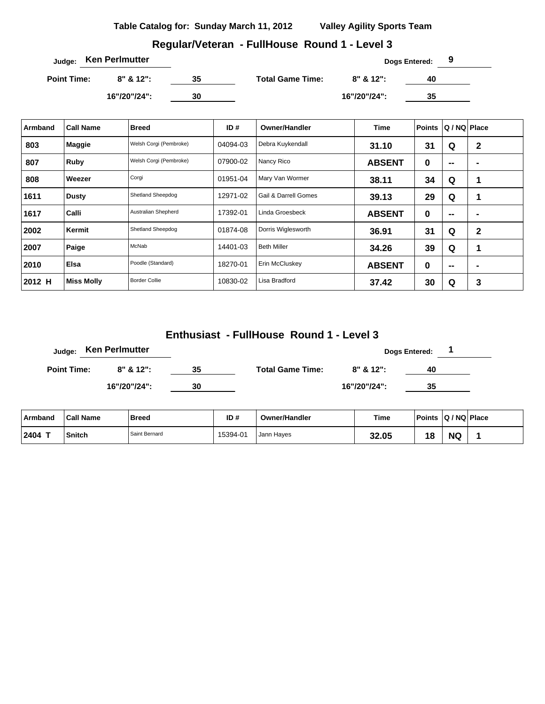**Regular/Veteran - FullHouse Round 1 - Level 3**

|                    | <sub>Judge:</sub> Ken Perlmutter |    |                         |              | Dogs Entered: |  |
|--------------------|----------------------------------|----|-------------------------|--------------|---------------|--|
| <b>Point Time:</b> | $8" 812"$ :                      | 35 | <b>Total Game Time:</b> | $8" 812"$ :  | 40            |  |
|                    | 16"/20"/24":                     | 30 |                         | 16"/20"/24": | 35            |  |

| Armband | <b>Call Name</b>  | <b>Breed</b>           | ID $#$   | <b>Owner/Handler</b>            | Time          | <b>Points</b> | Q / NQ   Place |                |
|---------|-------------------|------------------------|----------|---------------------------------|---------------|---------------|----------------|----------------|
| 803     | <b>Maggie</b>     | Welsh Corgi (Pembroke) | 04094-03 | Debra Kuykendall                | 31.10         | 31            | Q              | $\mathbf{2}$   |
| 807     | Ruby              | Welsh Corgi (Pembroke) | 07900-02 | Nancy Rico                      | <b>ABSENT</b> | 0             | $\mathbf{m}$   | $\blacksquare$ |
| 808     | Weezer            | Corgi                  | 01951-04 | Mary Van Wormer                 | 38.11         | 34            | Q              | 1              |
| 1611    | <b>Dusty</b>      | Shetland Sheepdog      | 12971-02 | <b>Gail &amp; Darrell Gomes</b> | 39.13         | 29            | Q              | 1              |
| 1617    | Calli             | Australian Shepherd    | 17392-01 | Linda Groesbeck                 | <b>ABSENT</b> | 0             | $- -$          | -              |
| 2002    | Kermit            | Shetland Sheepdog      | 01874-08 | Dorris Wiglesworth              | 36.91         | 31            | Q              | $\mathbf{2}$   |
| 2007    | Paige             | McNab                  | 14401-03 | <b>Beth Miller</b>              | 34.26         | 39            | Q              | 1              |
| 2010    | Elsa              | Poodle (Standard)      | 18270-01 | Erin McCluskey                  | <b>ABSENT</b> | 0             | $- -$          |                |
| 2012 H  | <b>Miss Molly</b> | <b>Border Collie</b>   | 10830-02 | Lisa Bradford                   | 37.42         | 30            | Q              | 3              |

| Judge:             | <b>Ken Perlmutter</b> |    |                         |               | <b>Dogs Entered:</b> |  |
|--------------------|-----------------------|----|-------------------------|---------------|----------------------|--|
| <b>Point Time:</b> | $8" 812"$ :           | 35 | <b>Total Game Time:</b> | $8" 8' 12"$ : | 40                   |  |
|                    | 16"/20"/24":          | 30 |                         | 16"/20"/24":  | 35                   |  |

| Armband | <b>Call Name</b> | Breed         | ID#      | <b>Owner/Handler</b> | Time  | <b>Points</b> | $ Q/NQ $ Place |  |
|---------|------------------|---------------|----------|----------------------|-------|---------------|----------------|--|
| 2404 T  | <b>Snitch</b>    | Saint Bernard | 15394-01 | Jann Haves           | 32.05 | 18            | <b>NG</b>      |  |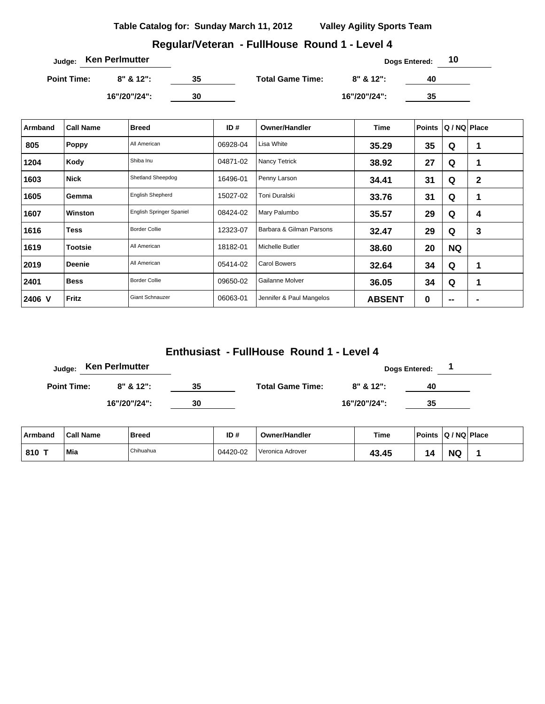### **Regular/Veteran - FullHouse Round 1 - Level 4**

| <sub>Judge:</sub> Ken Perlmutter |               |    |                         |               | Dogs Entered: | 10 |
|----------------------------------|---------------|----|-------------------------|---------------|---------------|----|
| <b>Point Time:</b>               | $8" 8' 12"$ : | 35 | <b>Total Game Time:</b> | $8" 8' 12"$ : | 40            |    |
|                                  | 16"/20"/24":  | 30 |                         | 16"/20"/24":  | 35            |    |

| Armband | <b>Call Name</b> | <b>Breed</b>             | ID#      | <b>Owner/Handler</b>     | Time          | <b>Points</b> | Q / NQ   Place  |                |
|---------|------------------|--------------------------|----------|--------------------------|---------------|---------------|-----------------|----------------|
| 805     | Poppy            | All American             | 06928-04 | Lisa White               | 35.29         | 35            | Q               | 1              |
| 1204    | Kody             | Shiba Inu                | 04871-02 | <b>Nancy Tetrick</b>     | 38.92         | 27            | Q               | 1              |
| 1603    | <b>Nick</b>      | Shetland Sheepdog        | 16496-01 | Penny Larson             | 34.41         | 31            | Q               | $\mathbf{2}$   |
| 1605    | Gemma            | <b>English Shepherd</b>  | 15027-02 | Toni Duralski            | 33.76         | 31            | Q               | 1              |
| 1607    | Winston          | English Springer Spaniel | 08424-02 | Mary Palumbo             | 35.57         | 29            | Q               | 4              |
| 1616    | <b>Tess</b>      | <b>Border Collie</b>     | 12323-07 | Barbara & Gilman Parsons | 32.47         | 29            | Q               | 3              |
| 1619    | <b>Tootsie</b>   | All American             | 18182-01 | Michelle Butler          | 38.60         | 20            | <b>NQ</b>       |                |
| 2019    | <b>Deenie</b>    | All American             | 05414-02 | <b>Carol Bowers</b>      | 32.64         | 34            | Q               | 1              |
| 2401    | <b>Bess</b>      | <b>Border Collie</b>     | 09650-02 | Gailanne Molver          | 36.05         | 34            | Q               | 1              |
| 2406 V  | Fritz            | <b>Giant Schnauzer</b>   | 06063-01 | Jennifer & Paul Mangelos | <b>ABSENT</b> | 0             | $\qquad \qquad$ | $\blacksquare$ |

| Judge:             | <b>Ken Perlmutter</b> |    |                         |              | <b>Dogs Entered:</b> |  |
|--------------------|-----------------------|----|-------------------------|--------------|----------------------|--|
| <b>Point Time:</b> | $8" 8' 12"$ :         | 35 | <b>Total Game Time:</b> | 8" & 12":    | 40                   |  |
|                    | 16"/20"/24":          | 30 |                         | 16"/20"/24": | 35                   |  |

| ∣ Armband | <b>Call Name</b> | Breed     | ID#      | <b>Owner/Handler</b> | Time        | <b>Points</b> |           | Q / NQ Place |
|-----------|------------------|-----------|----------|----------------------|-------------|---------------|-----------|--------------|
| 810 T     | Mia              | Chihuahua | 04420-02 | Veronica Adrover     | 43.45<br>12 | 14            | <b>NQ</b> |              |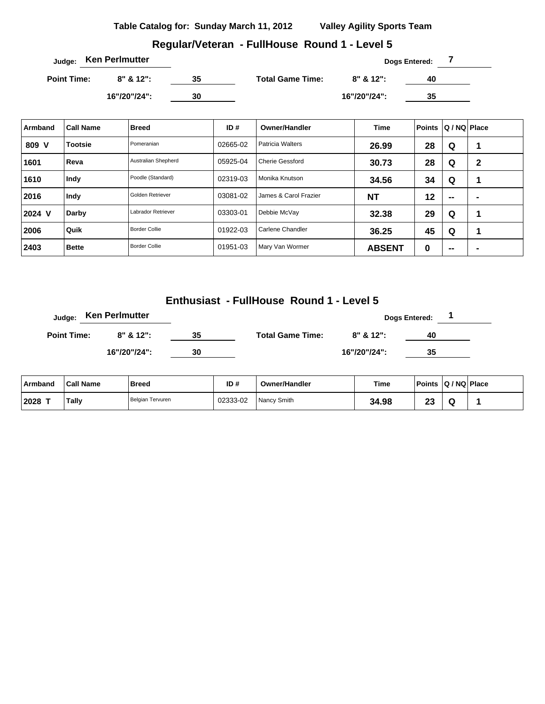**Regular/Veteran - FullHouse Round 1 - Level 5**

| Judge: Ken Perlmutter |              |    |                         | Dogs Entered: |    |  |  |  |
|-----------------------|--------------|----|-------------------------|---------------|----|--|--|--|
| <b>Point Time:</b>    | $8" 812"$ :  | 35 | <b>Total Game Time:</b> | $8"$ & 12":   | 40 |  |  |  |
|                       | 16"/20"/24": | 30 |                         | 16"/20"/24":  | 35 |  |  |  |

| Armband | <b>Call Name</b> | <b>Breed</b>         | ID#      | <b>Owner/Handler</b>    | <b>Time</b>   | <b>Points</b> | Q / NQ   Place           |                |
|---------|------------------|----------------------|----------|-------------------------|---------------|---------------|--------------------------|----------------|
| 809 V   | <b>Tootsie</b>   | Pomeranian           | 02665-02 | <b>Patricia Walters</b> | 26.99         | 28            | Q                        | 1              |
| 1601    | Reva             | Australian Shepherd  | 05925-04 | <b>Cherie Gessford</b>  | 30.73         | 28            | Q                        | 2              |
| 1610    | Indy             | Poodle (Standard)    | 02319-03 | Monika Knutson          | 34.56         | 34            | Q                        | и              |
| 2016    | Indy             | Golden Retriever     | 03081-02 | James & Carol Frazier   | <b>NT</b>     | 12            | $\overline{\phantom{a}}$ | -              |
| 2024 V  | Darby            | Labrador Retriever   | 03303-01 | Debbie McVay            | 32.38         | 29            | Q                        | 4              |
| 2006    | Quik             | <b>Border Collie</b> | 01922-03 | Carlene Chandler        | 36.25         | 45            | Q                        | и              |
| 2403    | <b>Bette</b>     | <b>Border Collie</b> | 01951-03 | Mary Van Wormer         | <b>ABSENT</b> | 0             | --                       | $\blacksquare$ |

|                    | Judge: Ken Perlmutter |    |                         |              | <b>Dogs Entered:</b> |  |
|--------------------|-----------------------|----|-------------------------|--------------|----------------------|--|
| <b>Point Time:</b> | $8" 812"$ :           | 35 | <b>Total Game Time:</b> | $8" 812"$ :  | 40                   |  |
|                    | 16"/20"/24":          | 30 |                         | 16"/20"/24": | 35                   |  |

| ∣ Armband | <b>Call Name</b> | <b>Breed</b>     | ID#      | <b>Owner/Handler</b> | Time  | <b>Points</b> | $ Q/NQ $ Place |  |
|-----------|------------------|------------------|----------|----------------------|-------|---------------|----------------|--|
| 2028      | Tally            | Belgian Tervuren | 02333-02 | Nancy Smith          | 34.98 | CO.<br>≁      |                |  |